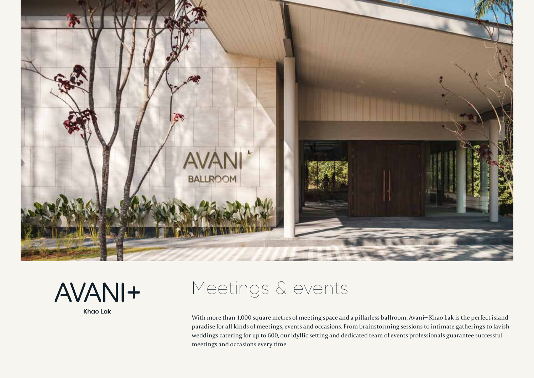



Meetings & events

With more than 1,000 square metres of meeting space and a pillarless ballroom, Avani+ Khao Lak is the perfect island paradise for all kinds of meetings, events and occasions. From brainstorming sessions to intimate gatherings to lavish weddings catering for up to 600, our idyllic setting and dedicated team of events professionals guarantee successful meetings and occasions every time.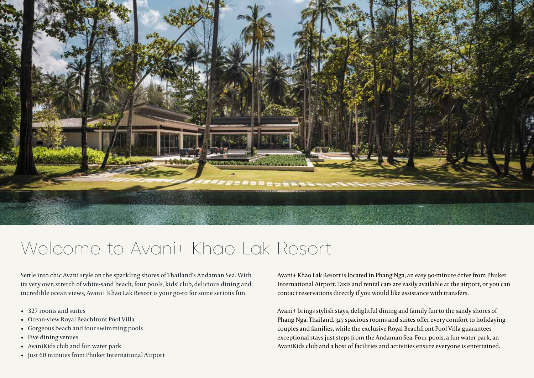

## Welcome to Avani+ Khao Lak Resort

Settle into chic Avani style on the sparkling shores of Thailand's Andaman Sea. With its very own stretch of white-sand beach, four pools, kids' club, delicious dining and incredible ocean views, Avani+ Khao Lak Resort is your go-to for some serious fun.

- 327 rooms and suites
- Ocean-view Royal Beachfront Pool Villa
- Gorgeous beach and four swimming pools
- Five dining venues
- AvaniKids club and fun water park
- Just 60 minutes from Phuket International Airport

Avani+ Khao Lak Resort is located in Phang Nga, an easy 90-minute drive from Phuket International Airport. Taxis and rental cars are easily available at the airport, or you can contact reservations directly if you would like assistance with transfers.

Avani+ brings stylish stays, delightful dining and family fun to the sandy shores of Phang Nga, Thailand. 327 spacious rooms and suites offer every comfort to holidaying couples and families, while the exclusive Royal Beachfront Pool Villa guarantees exceptional stays just steps from the Andaman Sea. Four pools, a fun water park, an AvaniKids club and a host of facilities and activities ensure everyone is entertained.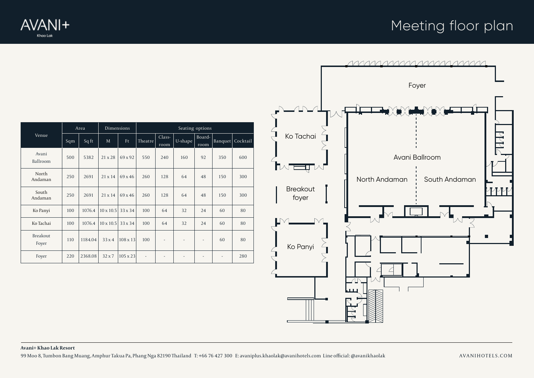## Meeting floor plan





|                   | Area |         | Dimensions       |                 | Seating options |                |         |                |     |                    |  |
|-------------------|------|---------|------------------|-----------------|-----------------|----------------|---------|----------------|-----|--------------------|--|
| Venue             | Sqm  | Sq ft   | M                | Ft.             | Theatre         | Class-<br>room | U-shape | Board-<br>room |     | Banquet   Cocktail |  |
| Avani<br>Ballroom | 500  | 5382    | $21 \times 28$   | 69 x 92         | 550             | 240            | 160     | 92             | 350 | 600                |  |
| North<br>Andaman  | 250  | 2691    | $21 \times 14$   | 69 x 46         | 260             | 128            | 64      | 48             | 150 | 300                |  |
| South<br>Andaman  | 250  | 2691    | $21 \times 14$   | 69 x 46         | 260             | 128            | 64      | 48             | 150 | 300                |  |
| Ko Panyi          | 100  | 1076.4  | $10 \times 10.5$ | $33 \times 34$  | 100             | 64             | 32      | 24             | 60  | 80                 |  |
| Ko Tachai         | 100  | 1076.4  | $10 \times 10.5$ | 33 x 34         | 100             | 64             | 32      | 24             | 60  | 80                 |  |
| Breakout<br>Foyer | 110  | 1184.04 | 33x4             | $108 \times 13$ | 100             |                |         | ٠              | 60  | 80                 |  |
| Foyer             | 220  | 2368.08 | $32 \times 7$    | $105 \times 23$ |                 |                | ٠       | ٠              | ٠   | 280                |  |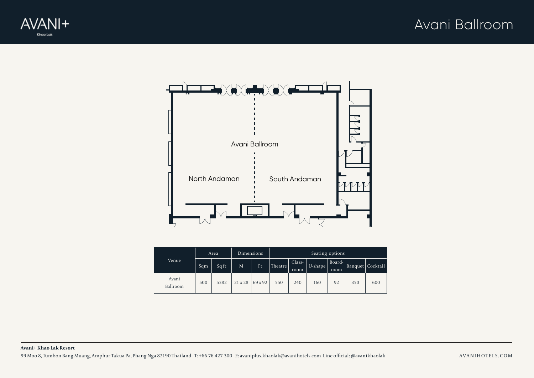



| Venue             | Area |       | <b>Dimensions</b> |         | Seating options |                |         |                |     |                  |  |  |
|-------------------|------|-------|-------------------|---------|-----------------|----------------|---------|----------------|-----|------------------|--|--|
|                   | Sqm  | Sq ft | M                 | Ft      | Theatre         | Class-<br>room | U-shape | Board-<br>room |     | Banquet Cocktail |  |  |
| Avani<br>Ballroom | 500  | 5382  | $21 \times 28$    | 69 x 92 | 550             | 240            | 160     | 92             | 350 | 600              |  |  |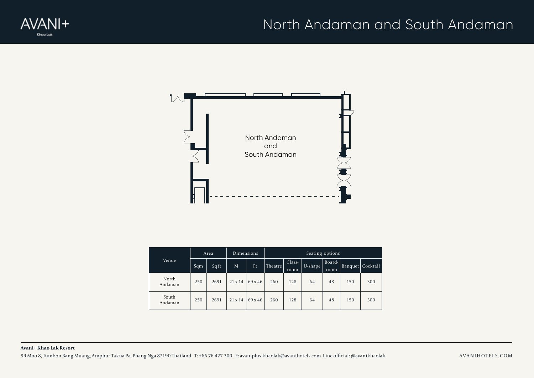



| Venue            | Area |       | <b>Dimensions</b> |         | Seating options |                |         |                |                  |     |  |  |
|------------------|------|-------|-------------------|---------|-----------------|----------------|---------|----------------|------------------|-----|--|--|
|                  | Sqm  | Sq ft | M                 | Ft      | Theatre         | Class-<br>room | U-shape | Board-<br>room | Banquet Cocktail |     |  |  |
| North<br>Andaman | 250  | 2691  | $21 \times 14$    | 69 x 46 | 260             | 128            | 64      | 48             | 150              | 300 |  |  |
| South<br>Andaman | 250  | 2691  | $21 \times 14$    | 69 x 46 | 260             | 128            | 64      | 48             | 150              | 300 |  |  |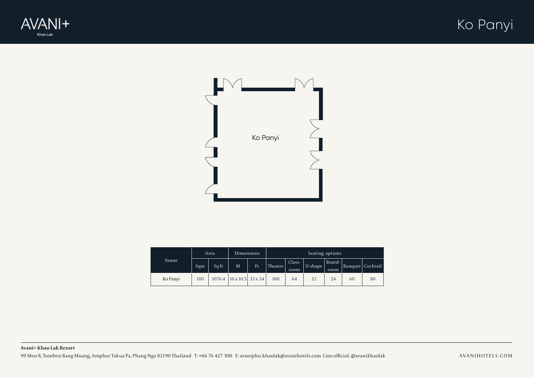





| Venue    | Area |       | <b>Dimensions</b>              |    | Seating options |                |         |                  |    |                  |  |  |
|----------|------|-------|--------------------------------|----|-----------------|----------------|---------|------------------|----|------------------|--|--|
|          | Sqm  | Sq ft | M                              | Ft | Theatre         | Class-<br>room | U-shape | Board-  <br>room |    | Banquet Cocktail |  |  |
| Ko Panyi | 100  |       | $1076.4$   10 x 10.5   33 x 34 |    | 100             | 64             | 32      | 24               | 60 | 80               |  |  |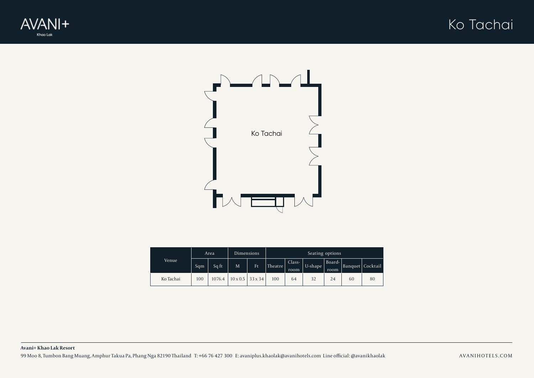





| Venue     | Area |        | <b>Dimensions</b> |                         | Seating options |                |         |                  |    |                  |  |  |
|-----------|------|--------|-------------------|-------------------------|-----------------|----------------|---------|------------------|----|------------------|--|--|
|           | Sqm  | Sq ft  | M                 | <b>Ft</b>               | Theatre         | Class-<br>room | U-shape | Board-  <br>room |    | Banquet Cocktail |  |  |
| Ko Tachai | 100  | 1076.4 |                   | $10 \times 0.5$ 33 x 34 | 100             | 64             | 32      | 24               | 60 | 80               |  |  |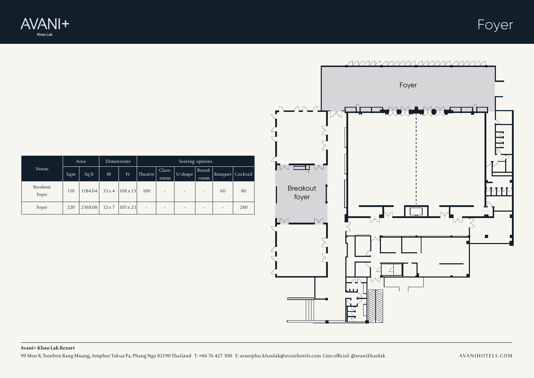



| Venue | Area              |       | Dimensions |               | Seating options |                          |         |                          |                          |                    |     |
|-------|-------------------|-------|------------|---------------|-----------------|--------------------------|---------|--------------------------|--------------------------|--------------------|-----|
|       | Sqm               | Sq ft | M          | Ft            | Theatre         | Class-<br>room           | U-shape | Board-<br>room           |                          | Banquet   Cocktail |     |
|       | Breakout<br>Foyer | 110   | 1184.04    | 33x4          | $108 \times 13$ | 100                      |         | $\overline{\phantom{a}}$ | $\overline{\phantom{a}}$ | 60                 | 80  |
|       | Foyer             | 220   | 2368.08    | $32 \times 7$ | $105 \times 23$ | $\overline{\phantom{a}}$ | -       | ۰                        | $\overline{\phantom{a}}$ | ٠                  | 280 |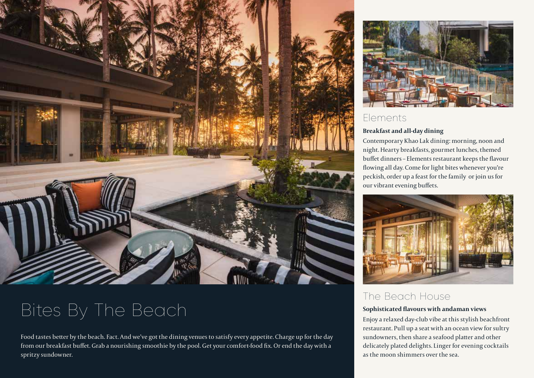

# Bites By The Beach

Food tastes better by the beach. Fact. And we've got the dining venues to satisfy every appetite. Charge up for the day from our breakfast buffet. Grab a nourishing smoothie by the pool. Get your comfort-food fix. Or end the day with a spritzy sundowner.



## Elements

#### **Breakfast and all-day dining**

Contemporary Khao Lak dining: morning, noon and night. Hearty breakfasts, gourmet lunches, themed buffet dinners – Elements restaurant keeps the flavour flowing all day. Come for light bites whenever you're peckish, order up a feast for the family or join us for our vibrant evening buffets.



### The Beach House

#### **Sophisticated flavours with andaman views**

Enjoy a relaxed day-club vibe at this stylish beachfront restaurant. Pull up a seat with an ocean view for sultry sundowners, then share a seafood platter and other delicately plated delights. Linger for evening cocktails as the moon shimmers over the sea.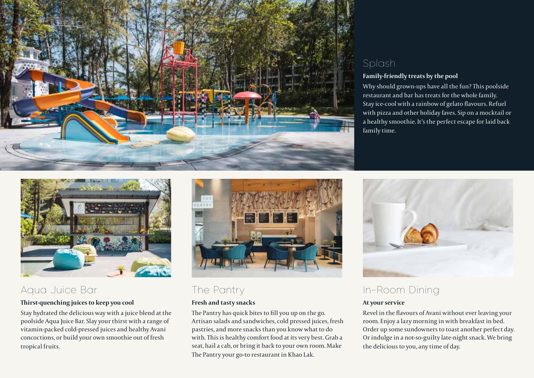

### Splash

#### **Family-friendly treats by the pool**

Why should grown-ups have all the fun? This poolside restaurant and bar has treats for the whole family. Stay ice-cool with a rainbow of gelato flavours. Refuel with pizza and other holiday faves. Sip on a mocktail or a healthy smoothie. It's the perfect escape for laid back family time.



## Aqua Juice Bar

#### **Thirst-quenching juices to keep you cool**

Stay hydrated the delicious way with a juice blend at the poolside Aqua Juice Bar. Slay your thirst with a range of vitamin-packed cold-pressed juices and healthy Avani concoctions, or build your own smoothie out of fresh tropical fruits.



## The Pantry

#### **Fresh and tasty snacks**

The Pantry has quick bites to fill you up on the go. Artisan salads and sandwiches, cold pressed juices, fresh pastries, and more snacks than you know what to do with. This is healthy comfort food at its very best. Grab a seat, hail a cab, or bring it back to your own room. Make The Pantry your go-to restaurant in Khao Lak.



## In-Room Dining

#### **At your service**

Revel in the flavours of Avani without ever leaving your room. Enjoy a lazy morning in with breakfast in bed. Order up some sundowners to toast another perfect day. Or indulge in a not-so-guilty late-night snack. We bring the delicious to you, any time of day.